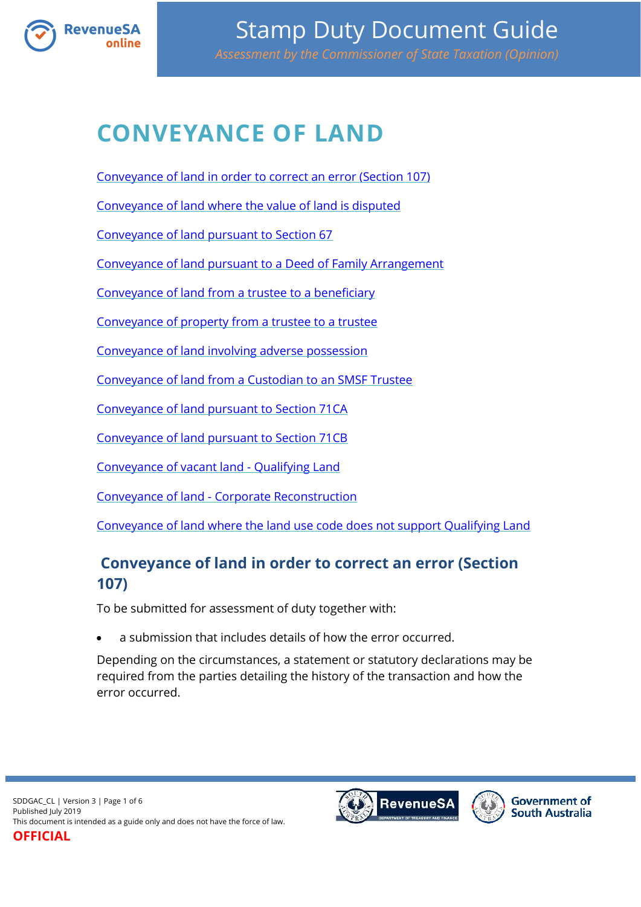<span id="page-0-0"></span>

# **CONVEYANCE OF LAND**

[Conveyance of land in order to correct an error \(Section 107\)](#page-0-0)

[Conveyance of land where the value of land is disputed](#page-1-0)

[Conveyance of land pursuant to Section 67](#page-1-1)

[Conveyance of land pursuant to a Deed of Family Arrangement](#page-1-2)

[Conveyance of land from a trustee to a beneficiary](#page-2-0)

[Conveyance of property from a trustee to a trustee](#page-2-1)

[Conveyance of land involving adverse possession](#page-2-2)

[Conveyance of land from a Custodian to an SMSF Trustee](#page-2-3)

[Conveyance of land pursuant to Section 71CA](#page-3-0)

[Conveyance of land pursuant to Section 71CB](#page-3-1)

[Conveyance of vacant land -](#page-4-0) Qualifying Land

Conveyance of land - [Corporate Reconstruction](#page-4-1)

[Conveyance of land where the land use code does not support Qualifying Land](#page-4-2)

# **Conveyance of land in order to correct an error (Section 107)**

To be submitted for assessment of duty together with:

a submission that includes details of how the error occurred.

Depending on the circumstances, a statement or statutory declarations may be required from the parties detailing the history of the transaction and how the error occurred.

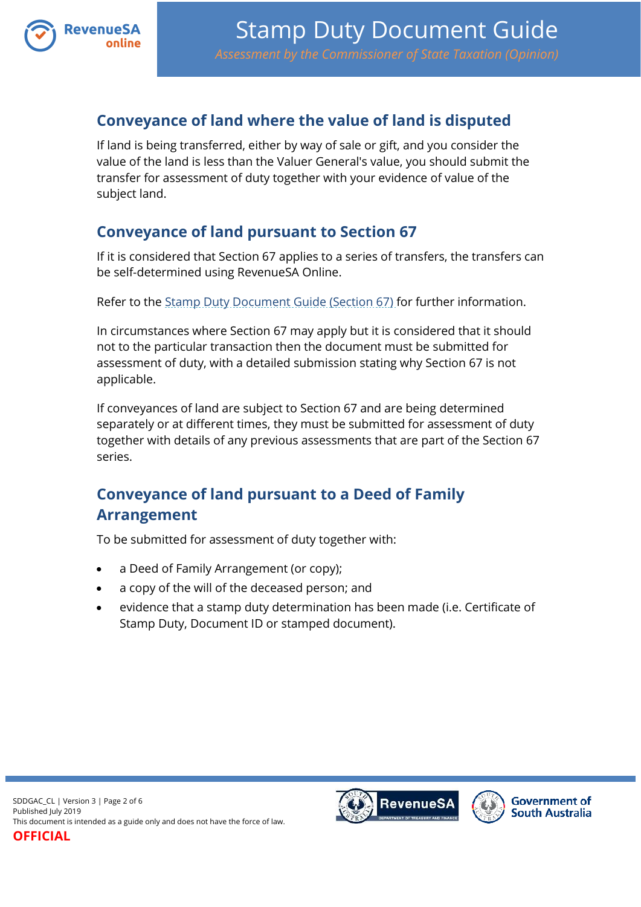

#### <span id="page-1-0"></span>**Conveyance of land where the value of land is disputed**

If land is being transferred, either by way of sale or gift, and you consider the value of the land is less than the Valuer General's value, you should submit the transfer for assessment of duty together with your evidence of value of the subject land.

#### <span id="page-1-1"></span>**Conveyance of land pursuant to Section 67**

If it is considered that Section 67 applies to a series of transfers, the transfers can be self-determined using RevenueSA Online.

Refer to the [Stamp Duty Document Guide \(Section 67\)](https://www.revenuesa.sa.gov.au/stampduty/stamp-duty-document-guide/section67) for further information.

In circumstances where Section 67 may apply but it is considered that it should not to the particular transaction then the document must be submitted for assessment of duty, with a detailed submission stating why Section 67 is not applicable.

If conveyances of land are subject to Section 67 and are being determined separately or at different times, they must be submitted for assessment of duty together with details of any previous assessments that are part of the Section 67 series.

## <span id="page-1-2"></span>**Conveyance of land pursuant to a Deed of Family Arrangement**

To be submitted for assessment of duty together with:

- a Deed of Family Arrangement (or copy);
- a copy of the will of the deceased person; and
- evidence that a stamp duty determination has been made (i.e. Certificate of Stamp Duty, Document ID or stamped document).

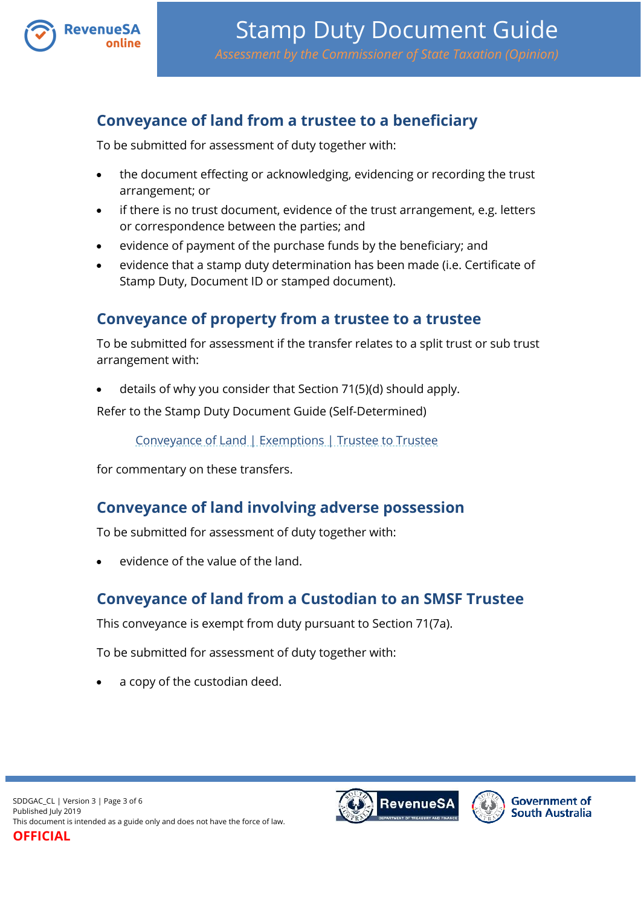

#### <span id="page-2-0"></span>**Conveyance of land from a trustee to a beneficiary**

To be submitted for assessment of duty together with:

- the document effecting or acknowledging, evidencing or recording the trust arrangement; or
- if there is no trust document, evidence of the trust arrangement, e.g. letters or correspondence between the parties; and
- evidence of payment of the purchase funds by the beneficiary; and
- evidence that a stamp duty determination has been made (i.e. Certificate of Stamp Duty, Document ID or stamped document).

#### <span id="page-2-1"></span>**Conveyance of property from a trustee to a trustee**

To be submitted for assessment if the transfer relates to a split trust or sub trust arrangement with:

details of why you consider that Section 71(5)(d) should apply.

Refer to the Stamp Duty Document Guide (Self-Determined)

[Conveyance of Land | Exemptions | Trustee to Trustee](https://www.revenuesa.sa.gov.au/stampduty/stamp-duty-document-guide/self-determined/conveyance-of-land-exemptions/sddgsd_cl_ex_ttot)

for commentary on these transfers.

#### <span id="page-2-2"></span>**Conveyance of land involving adverse possession**

To be submitted for assessment of duty together with:

evidence of the value of the land.

#### <span id="page-2-3"></span>**Conveyance of land from a Custodian to an SMSF Trustee**

This conveyance is exempt from duty pursuant to Section 71(7a).

To be submitted for assessment of duty together with:

a copy of the custodian deed.



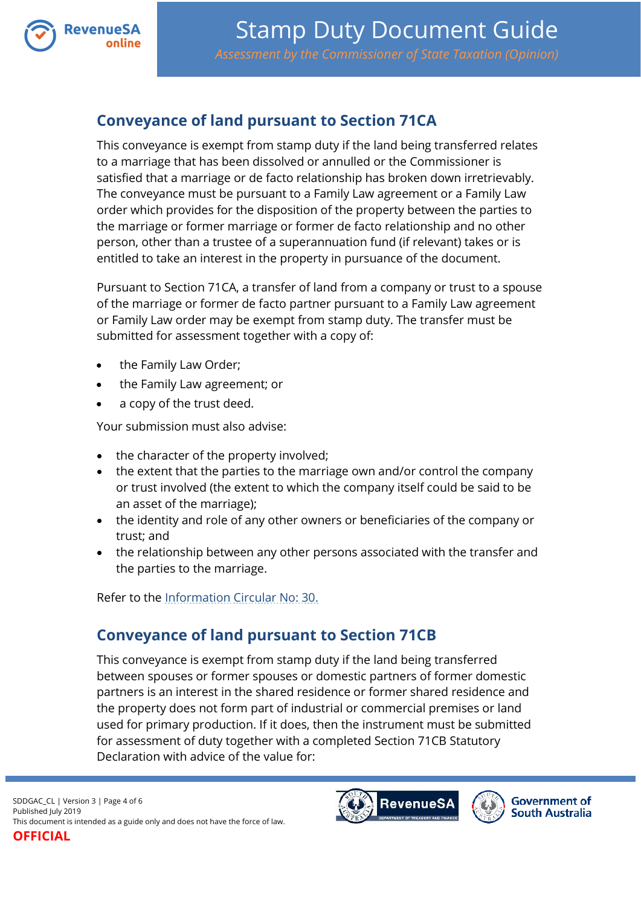

### <span id="page-3-0"></span>**Conveyance of land pursuant to Section 71CA**

This conveyance is exempt from stamp duty if the land being transferred relates to a marriage that has been dissolved or annulled or the Commissioner is satisfied that a marriage or de facto relationship has broken down irretrievably. The conveyance must be pursuant to a Family Law agreement or a Family Law order which provides for the disposition of the property between the parties to the marriage or former marriage or former de facto relationship and no other person, other than a trustee of a superannuation fund (if relevant) takes or is entitled to take an interest in the property in pursuance of the document.

Pursuant to Section 71CA, a transfer of land from a company or trust to a spouse of the marriage or former de facto partner pursuant to a Family Law agreement or Family Law order may be exempt from stamp duty. The transfer must be submitted for assessment together with a copy of:

- the Family Law Order;
- the Family Law agreement; or
- a copy of the trust deed.

Your submission must also advise:

- the character of the property involved;
- the extent that the parties to the marriage own and/or control the company or trust involved (the extent to which the company itself could be said to be an asset of the marriage);
- the identity and role of any other owners or beneficiaries of the company or trust; and
- the relationship between any other persons associated with the transfer and the parties to the marriage.

Refer to the [Information Circular No: 30.](https://www.revenuesa.sa.gov.au/forms-and-publications/information-circulars-and-revenue-rulings/information-circulars/ic_030)

#### <span id="page-3-1"></span>**Conveyance of land pursuant to Section 71CB**

This conveyance is exempt from stamp duty if the land being transferred between spouses or former spouses or domestic partners of former domestic partners is an interest in the shared residence or former shared residence and the property does not form part of industrial or commercial premises or land used for primary production. If it does, then the instrument must be submitted for assessment of duty together with a completed Section 71CB Statutory Declaration with advice of the value for:



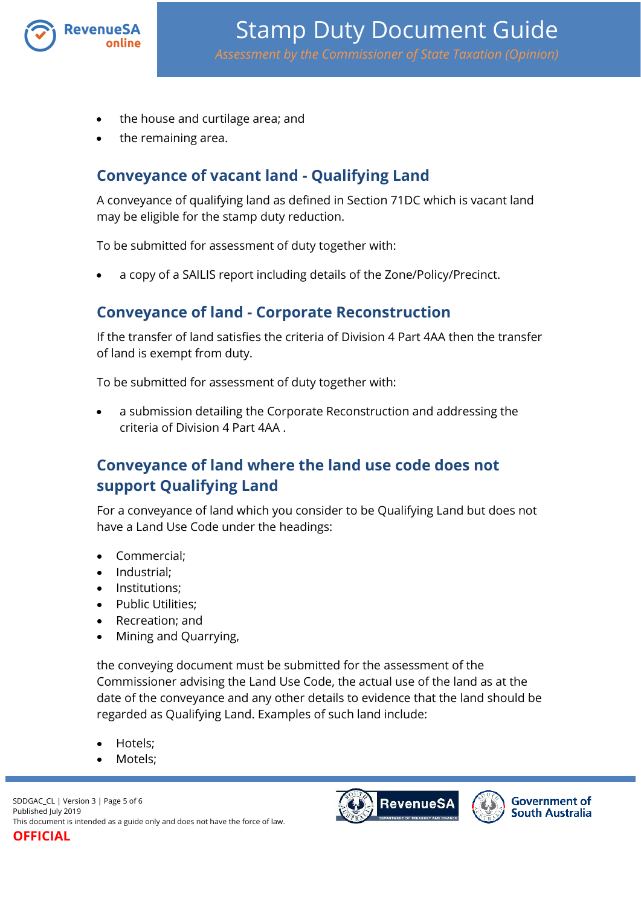

- the house and curtilage area; and
- the remaining area.

### <span id="page-4-0"></span>**Conveyance of vacant land - Qualifying Land**

A conveyance of qualifying land as defined in Section 71DC which is vacant land may be eligible for the stamp duty reduction.

To be submitted for assessment of duty together with:

a copy of a SAILIS report including details of the Zone/Policy/Precinct.

#### <span id="page-4-1"></span>**Conveyance of land - Corporate Reconstruction**

If the transfer of land satisfies the criteria of Division 4 Part 4AA then the transfer of land is exempt from duty.

To be submitted for assessment of duty together with:

 a submission detailing the Corporate Reconstruction and addressing the criteria of Division 4 Part 4AA .

# <span id="page-4-2"></span>**Conveyance of land where the land use code does not support Qualifying Land**

For a conveyance of land which you consider to be Qualifying Land but does not have a Land Use Code under the headings:

- Commercial;
- Industrial;
- Institutions:
- Public Utilities;
- Recreation; and
- Mining and Quarrying,

the conveying document must be submitted for the assessment of the Commissioner advising the Land Use Code, the actual use of the land as at the date of the conveyance and any other details to evidence that the land should be regarded as Qualifying Land. Examples of such land include:

- Hotels;
- Motels;